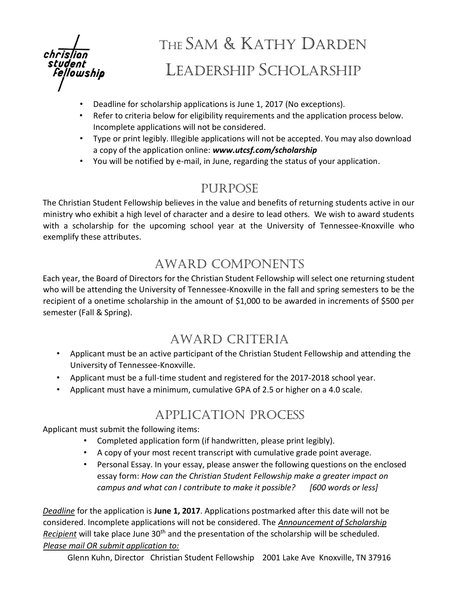

# THE SAM & KATHY DARDEN LEADERSHIP SCHOLARSHIP

- Deadline for scholarship applications is June 1, 2017 (No exceptions).
- Refer to criteria below for eligibility requirements and the application process below. Incomplete applications will not be considered.
- Type or print legibly. Illegible applications will not be accepted. You may also download a copy of the application online: *www.utcsf.com/scholarship*
- You will be notified by e-mail, in June, regarding the status of your application.

#### Purpose

The Christian Student Fellowship believes in the value and benefits of returning students active in our ministry who exhibit a high level of character and a desire to lead others. We wish to award students with a scholarship for the upcoming school year at the University of Tennessee-Knoxville who exemplify these attributes.

### Award Components

Each year, the Board of Directors for the Christian Student Fellowship will select one returning student who will be attending the University of Tennessee-Knoxville in the fall and spring semesters to be the recipient of a onetime scholarship in the amount of \$1,000 to be awarded in increments of \$500 per semester (Fall & Spring).

#### Award Criteria

- Applicant must be an active participant of the Christian Student Fellowship and attending the University of Tennessee-Knoxville.
- Applicant must be a full-time student and registered for the 2017-2018 school year.
- Applicant must have a minimum, cumulative GPA of 2.5 or higher on a 4.0 scale.

#### Application Process

Applicant must submit the following items:

- Completed application form (if handwritten, please print legibly).
- A copy of your most recent transcript with cumulative grade point average.
- Personal Essay. In your essay, please answer the following questions on the enclosed essay form: *How can the Christian Student Fellowship make a greater impact on campus and what can I contribute to make it possible? [600 words or less]*

*Deadline* for the application is **June 1, 2017**. Applications postmarked after this date will not be considered. Incomplete applications will not be considered. The *Announcement of Scholarship* Recipient will take place June 30<sup>th</sup> and the presentation of the scholarship will be scheduled. *Please mail OR submit application to:*

Glenn Kuhn, Director Christian Student Fellowship 2001 Lake Ave Knoxville, TN 37916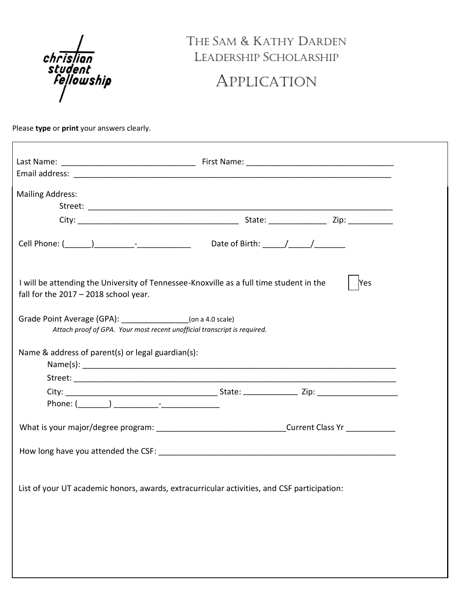

## THE SAM & KATHY DARDEN Leadership SCHOLARSHIP

## APPLICATION

Please **type** or **print** your answers clearly.

| <b>Mailing Address:</b>                                                                                                            |     |
|------------------------------------------------------------------------------------------------------------------------------------|-----|
|                                                                                                                                    |     |
|                                                                                                                                    |     |
| I will be attending the University of Tennessee-Knoxville as a full time student in the<br>fall for the $2017 - 2018$ school year. | Yes |
| Grade Point Average (GPA): (00 a 4.0 scale)<br>Attach proof of GPA. Your most recent unofficial transcript is required.            |     |
| Name & address of parent(s) or legal guardian(s):                                                                                  |     |
|                                                                                                                                    |     |
| Phone: ( <u>______</u> ) ____________ <sup>_</sup> ________________                                                                |     |
| What is your major/degree program: __________________________________Current Class Yr _____________                                |     |
|                                                                                                                                    |     |
|                                                                                                                                    |     |
| List of your UT academic honors, awards, extracurricular activities, and CSF participation:                                        |     |
|                                                                                                                                    |     |
|                                                                                                                                    |     |
|                                                                                                                                    |     |
|                                                                                                                                    |     |
|                                                                                                                                    |     |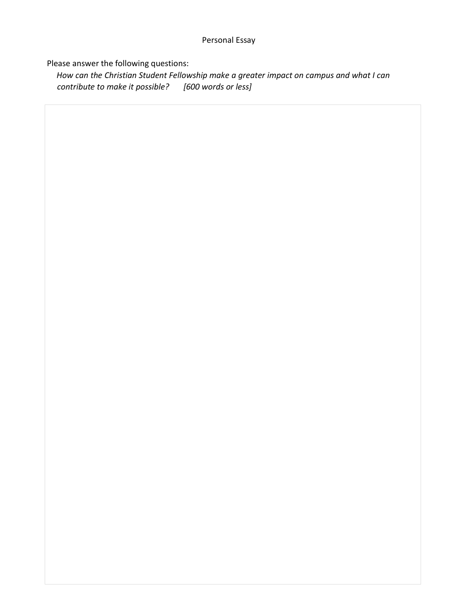#### Personal Essay

Please answer the following questions:

*How can the Christian Student Fellowship make a greater impact on campus and what I can contribute to make it possible? [600 words or less]*